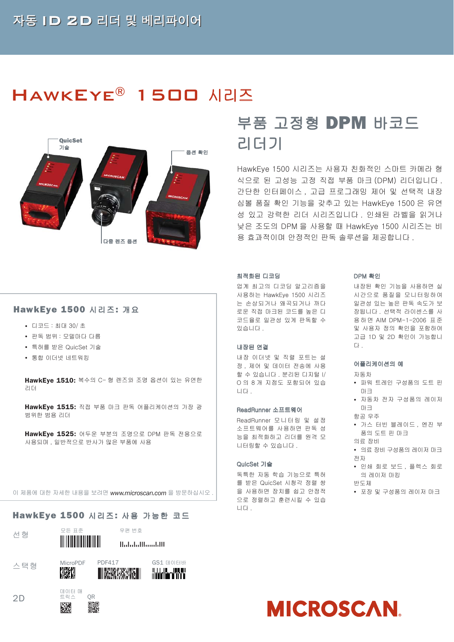# HAWKEYE<sup>®</sup> 1500 시리즈



# 부품 고정형 **DPM**바코드 리더기

HawkEye 1500 시리즈는 사용자 친화적인 스마트 카메라 형 식으로 된 고성능 고정 직접 부품 마크 (DPM) 리더입니다 . 간단한 인터페이스 , 고급 프로그래밍 제어 및 선택적 내장 심볼 품질 확인 기능을 갖추고 있는 HawkEye 1500 은 유연 성 있고 강력한 리더 시리즈입니다 . 인쇄된 라벨을 읽거나 낮은 조도의 DPM 을 사용할 때 HawkEye 1500 시리즈는 비 용 효과적이며 안정적인 판독 솔루션을 제공합니다 .

#### 최적화된 디코딩

업계 최고의 디코딩 알고리즘을 사용하는 HawkEye 1500 시리즈 는 손상되거나 왜곡되거나 까다 로운 직접 마크된 코드를 높은 디 코드율로 일관성 있게 판독할 수 있습니다 .

#### 내장된 연결

내장 이더넷 및 직렬 포트는 설 정 , 제어 및 데이터 전송에 사용 할 수 있습니다 . 분리된 디지털 I/ O 의 8 개 지점도 포함되어 있습 니다 .

#### ReadRunner 소프트웨어

ReadRunner 모니터링 및 설정 소프트웨어를 사용하면 판독 성 능을 최적화하고 리더를 원격 모 니터링할 수 있습니다 .

#### QuicSet 기술

독특한 자동 학습 기능으로 특허 를 받은 QuicSet 시청각 정렬 쌍 을 사용하면 장치를 쉽고 안정적 으로 정렬하고 훈련시킬 수 있습 니다 .

#### DPM 확인

내장된 확인 기능을 사용하면 실 시간으로 품질을 모니터링하여 일관성 있는 높은 판독 속도가 보 장됩니다 . 선택적 라이센스를 사 용하면 AIM DPM-1-2006 표준 및 사용자 정의 확인을 포함하여 고급 1D 및 2D 확인이 가능합니 다 .

#### 어플리케이션의 예

#### 자동차

- 파워 트레인 구성품의 도트 핀 마크
- 자동차 전자 구성품의 레이저 마크 항공 우주
- 가스 터빈 블레이드, 엔진 부 품의 도트 핀 마크
- 의료 장비 y 의료 장비 구성품의 레이저 마크
- 전자
- 인쇄 회로 보드, 플렉스 회로 의 레이저 마킹 반도체
- y 포장 및 구성품의 레이저 마크

이 제품에 대한 자세한 내용을 보려면 www.microscan.com 을 방문하십시오.

### **HawkEye 1500** 시리즈**:** 사용 가능한 코드 용



 $2D$ 

선형 모든 표준

우편 번호 Halalallhaaddll

**Worker Work** 







y 특허를 받은 QuicSet 기술

**HawkEye 1500** 시리즈**:** 개요

• 통합 이더넷 네트워킹

y 디코드 : 최대 30/ 초 y 판독 범위 : 모델마다 다름

**HawkEye 1510:** 복수의 C- 형 렌즈와 조명 옵션이 있는 유연한 리더

**HawkEye 1515:** 직접 부품 마크 판독 어플리케이션의 가장 광 범위한 범용 리더

**HawkEye 1525:** 어두운 부분의 조명으로 DPM 판독 전용으로 사용되며 , 일반적으로 반사가 많은 부품에 사용